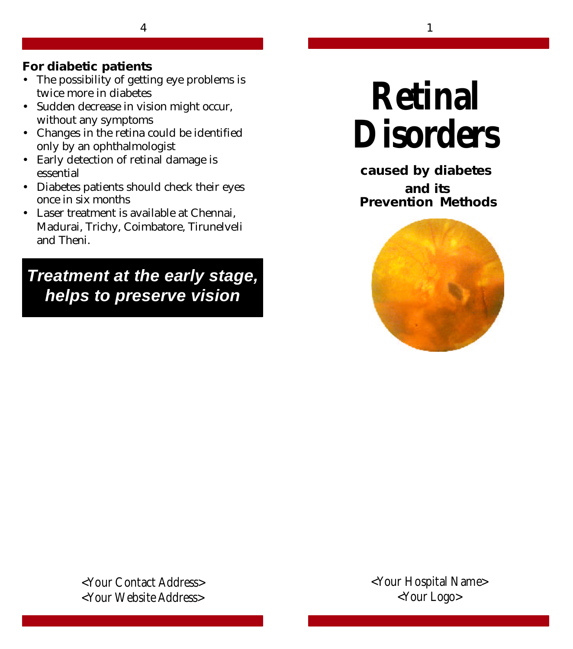4 1

#### **For diabetic patients**

- The possibility of getting eye problems is twice more in diabetes
- Sudden decrease in vision might occur, without any symptoms
- Changes in the retina could be identified only by an ophthalmologist
- Early detection of retinal damage is essential
- Diabetes patients should check their eyes once in six months
- Laser treatment is available at Chennai, Madurai, Trichy, Coimbatore, Tirunelveli and Theni.

*Treatment at the early stage, helps to preserve vision*

# **Retinal Disorders**

**caused by diabetes and its Prevention Methods**



**<Your Contact Address> <Your Website Address>**

**<Your Hospital Name> <Your Logo>**